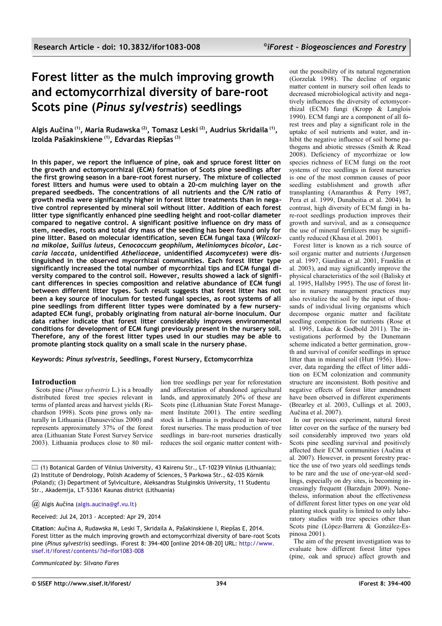# **Forest litter as the mulch improving growth and ectomycorrhizal diversity of bare-root Scots pine (***Pinus sylvestris***) seedlings**

**Algis Aučina (1), Maria Rudawska (2), Tomasz Leski (2), Audrius Skridaila (1) , Izolda Pašakinskiene (1), Edvardas Riepšas (3)**

**In this paper, we report the influence of pine, oak and spruce forest litter on the growth and ectomycorrhizal (ECM) formation of Scots pine seedlings after the first growing season in a bare-root forest nursery. The mixture of collected forest litters and humus were used to obtain a 20-cm mulching layer on the prepared seedbeds. The concentrations of all nutrients and the C/N ratio of growth media were significantly higher in forest litter treatments than in negative control represented by mineral soil without litter. Addition of each forest litter type significantly enhanced pine seedling height and root-collar diameter compared to negative control. A significant positive influence on dry mass of stem, needles, roots and total dry mass of the seedling has been found only for pine litter. Based on molecular identification, seven ECM fungal taxa (***Wilcoxina mikolae, Suillus luteus, Cenococcum geophilum, Meliniomyces bicolor, Laccaria laccata***, unidentified** *Atheliaceae***, unidentified** *Ascomycetes***) were distinguished in the observed mycorrhizal communities. Each forest litter type significantly increased the total number of mycorrhizal tips and ECM fungal diversity compared to the control soil. However, results showed a lack of significant differences in species composition and relative abundance of ECM fungi between different litter types. Such result suggests that forest litter has not been a key source of inoculum for tested fungal species, as root systems of all pine seedlings from different litter types were dominated by a few nurseryadapted ECM fungi, probably originating from natural air-borne inoculum. Our data rather indicate that forest litter considerably improves environmental conditions for development of ECM fungi previously present in the nursery soil. Therefore, any of the forest litter types used in our studies may be able to promote planting stock quality on a small scale in the nursery phase.**

**Keywords:** *Pinus sylvestris***, Seedlings, Forest Nursery, Ectomycorrhiza**

## **Introduction**

Scots pine (*Pinus sylvestris* L.) is a broadly distributed forest tree species relevant in terms of planted areas and harvest yields (Richardson 1998). Scots pine grows only naturally in Lithuania (Danusevičius 2000) and represents approximately 37% of the forest area (Lithuanian State Forest Survey Service 2003). Lithuania produces close to 80 million tree seedlings per year for reforestation and afforestation of abandoned agricultural lands, and approximately 20% of these are Scots pine (Lithuanian State Forest Management Institute 2001). The entire seedling stock in Lithuania is produced in bare-root forest nurseries. The mass production of tree seedlings in bare-root nurseries drastically reduces the soil organic matter content with-

 $\Box$  (1) Botanical Garden of Vilnius University, 43 Kairenu Str., LT-10239 Vilnius (Lithuania); (2) Institute of Dendrology, Polish Academy of Sciences, 5 Parkowa Str., 62-035 Kórnik (Poland); (3) Department of Sylviculture, Aleksandras Stulginskis University, 11 Studentu Str., Akademija, LT-53361 Kaunas district (Lithuania)

*@* Algis Aučina [\(algis.aucina@gf.vu.lt\)](mailto:)

Received: Jul 24, 2013 - Accepted: Apr 29, 2014

**Citation**: Aučina A, Rudawska M, Leski T, Skridaila A, Pašakinskiene I, Riepšas E, 2014. Forest litter as the mulch improving growth and ectomycorrhizal diversity of bare-root Scots pine (*Pinus sylvestris*) seedlings. iForest 8: 394-400 [online 2014-08-20] URL: [http://www.](http://www.sisef.it/iforest/contents/?id=ifor1083-008)  [sisef.it/iforest/contents/?id=ifor1083-008](http://www.sisef.it/iforest/contents/?id=ifor1083-008)

*Communicated by: Silvano Fares*

out the possibility of its natural regeneration (Gorzelak 1998). The decline of organic matter content in nursery soil often leads to decreased microbiological activity and negatively influences the diversity of ectomycorrhizal (ECM) fungi (Kropp & Langlois 1990). ECM fungi are a component of all forest trees and play a significant role in the uptake of soil nutrients and water, and inhibit the negative influence of soil borne pathogens and abiotic stresses (Smith & Read 2008). Deficiency of mycorrhizae or low species richness of ECM fungi on the root systems of tree seedlings in forest nurseries is one of the most common causes of poor seedling establishment and growth after transplanting (Amaranthus & Perry 1987, Pera et al. 1999, Dunabeitia et al. 2004). In contrast, high diversity of ECM fungi in bare-root seedlings production improves their growth and survival, and as a consequence the use of mineral fertilizers may be significantly reduced (Khasa et al. 2001).

Forest litter is known as a rich source of soil organic matter and nutrients (Jurgensen et al. 1997, Giardina et al. 2001, Franklin et al. 2003), and may significantly improve the physical characteristics of the soil (Balisky et al. 1995, Hallsby 1995). The use of forest litter in nursery management practices may also revitalize the soil by the input of thousands of individual living organisms which decompose organic matter and facilitate seedling competition for nutrients (Rose et al. 1995, Lukac & Godbold 2011). The investigations performed by the Dunemann scheme indicated a better germination, growth and survival of conifer seedlings in spruce litter than in mineral soil (Hutt 1956). However, data regarding the effect of litter addition on ECM colonization and community structure are inconsistent. Both positive and negative effects of forest litter amendment have been observed in different experiments (Brearley et al. 2003, Cullings et al. 2003, Aučina et al. 2007).

In our previous experiment, natural forest litter cover on the surface of the nursery bed soil considerably improved two years old Scots pine seedling survival and positively affected their ECM communities (Aučina et al. 2007). However, in present forestry practice the use of two years old seedlings tends to be rare and the use of one-year-old seedlings, especially on dry sites, is becoming increasingly frequent (Barzdajn 2009). Nonetheless, information about the effectiveness of different forest litter types on one year old planting stock quality is limited to only laboratory studies with tree species other than Scots pine (López-Barrera & González-Espinosa 2001).

The aim of the present investigation was to evaluate how different forest litter types (pine, oak and spruce) affect growth and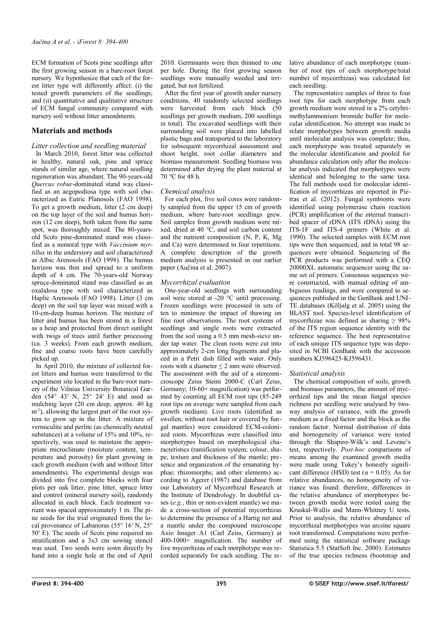ECM formation of Scots pine seedlings after the first growing season in a bare-root forest nursery. We hypothesize that each of the forest litter type will differently affect: (i) the tested growth parameters of the seedlings; and (ii) quantitative and qualitative structure of ECM fungal community compared with nursery soil without litter amendments.

## **Materials and methods**

# *Litter collection and seedling material*

In March 2010, forest litter was collected in healthy, natural oak, pine and spruce stands of similar age, where natural seedling regeneration was abundant. The 90-years-old *Quercus robur*-dominated stand was classified as an aegopodiosa type with soil characterized as Eutric Planosols (FAO 1998). To get a growth medium, litter (2 cm deep) on the top layer of the soil and humus horizon (12 cm deep), both taken from the same spot, was thoroughly mixed. The 80-yearsold Scots pine-dominated stand was classified as a nemoral type with *Vaccinium myrtillus* in the understory and soil characterized as Albic Arenosols (FAO 1998). The humus horizon was thin and spread to a uniform depth of 4 cm. The  $70$ -years-old Norway spruce-dominated stand was classified as an oxalidosa type with soil characterized as Haplic Arenosols (FAO 1998). Litter (3 cm deep) on the soil top layer was mixed with a 10-cm-deep humus horizon. The mixture of litter and humus has been stored in a forest as a heap and protected from direct sunlight with twigs of trees until further processing (ca. 3 weeks). From each growth medium, fine and coarse roots have been carefully picked up.

In April 2010, the mixture of collected forest litters and humus were transferred to the experiment site located in the bare-root nursery of the Vilnius University Botanical Garden (54° 43′ N, 25° 24′ E) and used as mulching layer (20 cm deep, approx. 40 kg  $m<sup>2</sup>$ ), allowing the largest part of the root system to grow up in the litter. A mixture of vermiculite and perlite (as chemically neutral substances) at a volume of 15% and 10%, respectively, was used to maintain the appropriate microclimate (moisture content, temperature and porosity) for plant growing in each growth medium (with and without litter amendments). The experimental design was divided into five complete blocks with four plots per oak litter, pine litter, spruce litter and control (mineral nursery soil), randomly allocated in each block. Each treatment variant was spaced approximately 1 m. The pine seeds for the trial originated from the local provenance of Labanoras (55° 16′ N, 25° 50′ E). The seeds of Scots pine required no stratification and a 3x3 cm sowing stencil was used. Two seeds were sown directly by hand into a single hole at the end of April

2010. Germinants were then thinned to one per hole. During the first growing season seedlings were manually weeded and irrigated, but not fertilized.

After the first year of growth under nursery conditions, 40 randomly selected seedlings were harvested from each block (50 seedlings per growth medium, 200 seedlings in total). The excavated seedlings with their surrounding soil were placed into labelled plastic bags and transported to the laboratory for subsequent mycorrhizal assessment and shoot height, root collar diameters and biomass measurement. Seedling biomass was determined after drying the plant material at 70 °C for 48 h.

## *Chemical analysis*

For each plot, five soil cores were randomly sampled from the upper 15 cm of growth medium, where bare-root seedlings grew. Soil samples from growth medium were mixed, dried at 40 °C, and soil carbon content and the nutrient composition (N, P, K, Mg and Ca) were determined in four repetitions. A complete description of the growth medium analysis is presented in our earlier paper (Aučina et al. 2007).

## *Mycorrhizal evaluation*

One-year-old seedlings with surrounding soil were stored at -20 °C until processing. Frozen seedlings were processed in sets of ten to minimize the impact of thawing on fine root observations. The root systems of seedlings and single roots were extracted from the soil using a 0.5 mm mesh-sieve under tap water. The clean roots were cut into approximately 2-cm long fragments and placed in a Petri dish filled with water. Only roots with a diameter ≤ 2 mm were observed. The assessment with the aid of a stereomicroscope Zeiss Stemi 2000-C (Carl Zeiss, Germany; 10-60× magnification) was performed by counting all ECM root tips (85-249 root tips on average were sampled from each growth medium). Live roots (identified as swollen, without root hair or covered by fungal mantles) were considered ECM-colonized roots. Mycorrhizas were classified into morphotypes based on morphological characteristics (ramification system; colour, shape, texture and thickness of the mantle; presence and organization of the emanating hyphae; rhizomorphs; and other elements) according to Agerer (1987) and database from our Laboratory of Mycorrhizal Research at the Institute of Dendrology. In doubtful cases (*e.g.*, thin or non-evident mantle) we made a cross-section of potential mycorrhizas to determine the presence of a Hartig net and a mantle under the compound microscope Axio Imager A1 (Carl Zeiss, Germany) at  $400-1000\times$  magnification. The number of live mycorrhizas of each morphotype was recorded separately for each seedling. The relative abundance of each morphotype (number of root tips of each morphotype/total number of mycorrhizas) was calculated for each seedling.

The representative samples of three to four root tips for each morphotype from each growth medium were stored in a 2% cetyltrimethylammonium bromide buffer for molecular identification. No attempt was made to relate morphotypes between growth media until molecular analysis was complete; thus, each morphotype was treated separately in the molecular identification and pooled for abundance calculation only after the molecular analysis indicated that morphotypes were identical and belonging to the same taxa. The full methods used for molecular identification of mycorrhizas are reported in Pietras et al. (2012). Fungal symbionts were identified using polymerase chain reaction (PCR) amplification of the internal transcribed spacer of rDNA (ITS rDNA) using the ITS-1F and ITS-4 primers (White et al. 1990). The selected samples with ECM root tips were then sequenced, and in total 98 sequences were obtained. Sequencing of the PCR products was performed with a CEQ  $20000XL$  automatic sequencer using the same set of primers. Consensus sequences were constructed, with manual editing of ambiguous readings, and were compared to sequences published in the GenBank and UNI-TE databases (Kõljalg et al. 2005) using the BLAST tool. Species-level identification of mycorrhizae was defined as sharing  $\geq 98\%$ of the ITS region sequence identity with the reference sequence. The best representative of each unique ITS sequence type was deposited in NCBI GenBank with the accession numbers KJ596425-KJ596431.

## *Statistical analysis*

The chemical composition of soils, growth and biomass parameters, the amount of mycorrhizal tips and the mean fungal species richness per seedling were analysed by twoway analysis of variance, with the growth medium as a fixed factor and the block as the random factor. Normal distribution of data and homogeneity of variance were tested through the Shapiro-Wilk's and Levene's test, respectively. *Post-hoc* comparisons of means among the examined growth media were made using Tukey's honestly significant difference (HSD) test ( $\alpha$  = 0.05). As for relative abundances, no homogeneity of variance was found; therefore, differences in the relative abundance of morphotypes between growth media were tested using the Kruskal-Wallis and Mann-Whitney U tests. Prior to analysis, the relative abundance of mycorrhizal morphotypes was arcsine square root transformed. Computations were performed using the statistical software package Statistica 5.5 (StatSoft Inc. 2000). Estimates of the true species richness (bootstrap and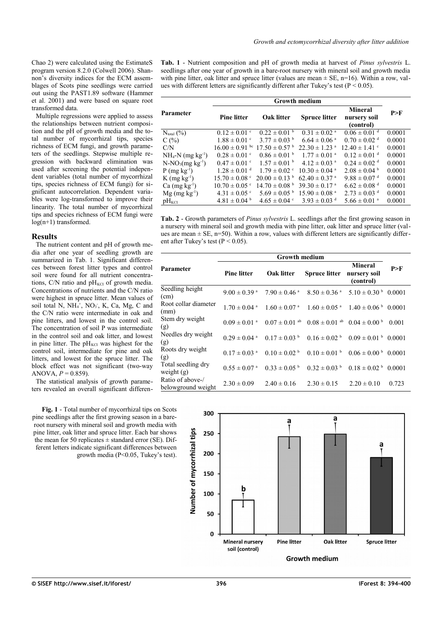Chao 2) were calculated using the EstimateS program version 8.2.0 (Colwell 2006). Shannon's diversity indices for the ECM assemblages of Scots pine seedlings were carried out using the PAST1.89 software (Hammer et al. 2001) and were based on square root transformed data.

Multiple regressions were applied to assess the relationships between nutrient composition and the pH of growth media and the total number of mycorrhizal tips, species richness of ECM fungi, and growth parameters of the seedlings. Stepwise multiple regression with backward elimination was used after screening the potential independent variables (total number of mycorrhizal tips, species richness of ECM fungi) for significant autocorrelation. Dependent variables were log-transformed to improve their linearity. The total number of mycorrhizal tips and species richness of ECM fungi were log(n+1) transformed.

#### **Results**

The nutrient content and pH of growth media after one year of seedling growth are summarized in [Tab. 1.](#page-2-0) Significant differences between forest litter types and control soil were found for all nutrient concentrations, C/N ratio and  $pH_{\text{KCI}}$  of growth media. Concentrations of nutrients and the C/N ratio were highest in spruce litter. Mean values of soil total N, NH<sub>4</sub><sup>+</sup>, NO<sub>3</sub><sup>-</sup>, K, Ca, Mg, C and the C/N ratio were intermediate in oak and pine litters, and lowest in the control soil. The concentration of soil P was intermediate in the control soil and oak litter, and lowest in pine litter. The  $pH_{\text{KCI}}$  was highest for the control soil, intermediate for pine and oak litters, and lowest for the spruce litter. The block effect was not significant (two-way ANOVA,  $P = 0.859$ ).

The statistical analysis of growth parameters revealed an overall significant differen-

<span id="page-2-1"></span>**Fig. 1** - Total number of mycorrhizal tips on Scots pine seedlings after the first growing season in a bareroot nursery with mineral soil and growth media with pine litter, oak litter and spruce litter. Each bar shows the mean for 50 replicates  $\pm$  standard error (SE). Different letters indicate significant differences between growth media (P<0.05, Tukey's test).

<span id="page-2-0"></span>**Tab. 1** - Nutrient composition and pH of growth media at harvest of *Pinus sylvestris* L. seedlings after one year of growth in a bare-root nursery with mineral soil and growth media with pine litter, oak litter and spruce litter (values are mean  $\pm$  SE, n=16). Within a row, values with different letters are significantly different after Tukey's test ( $P < 0.05$ ).

|                                 | <b>Growth medium</b>          |                               |                               |                                             |        |  |
|---------------------------------|-------------------------------|-------------------------------|-------------------------------|---------------------------------------------|--------|--|
| Parameter                       | <b>Pine litter</b>            | Oak litter                    | <b>Spruce litter</b>          | <b>Mineral</b><br>nursery soil<br>(control) | P>F    |  |
| $N_{total}$ (%)                 | $0.12 \pm 0.01$ °             | $0.22 \pm 0.01$ <sup>b</sup>  | $0.31 \pm 0.02$ <sup>a</sup>  | $0.06 \pm 0.01$ <sup>d</sup>                | 0.0001 |  |
| C(%)                            | $1.88 \pm 0.01$ °             | $3.77 \pm 0.03$ <sup>b</sup>  | $6.64 \pm 0.06$ <sup>a</sup>  | $0.70 \pm 0.02$ <sup>d</sup>                | 0.0001 |  |
| C/N                             | $16.00 \pm 0.91$ bc           | $17.50 \pm 0.57$ <sup>b</sup> | $22.30 \pm 1.23$ <sup>a</sup> | $12.40 \pm 1.41$ <sup>c</sup>               | 0.0001 |  |
| $NH_4-N$ (mg kg <sup>-1</sup> ) | $0.28 \pm 0.01$ °             | $0.86 \pm 0.01$ <sup>b</sup>  | $1.77 \pm 0.01$ <sup>a</sup>  | $0.12 \pm 0.01$ <sup>d</sup>                | 0.0001 |  |
| $N-NO_3(mg kg^{-1})$            | $0.47 \pm 0.01$ °             | $1.57 \pm 0.01$ b             | $4.12 \pm 0.03$ <sup>a</sup>  | $0.24 \pm 0.02$ <sup>d</sup>                | 0.0001 |  |
| $P$ (mg kg <sup>-1</sup> )      | $1.28 \pm 0.01$ <sup>d</sup>  | $1.79 \pm 0.02$ °             | $10.30 \pm 0.04$ <sup>a</sup> | $2.08 \pm 0.04$ <sup>b</sup>                | 0.0001 |  |
| $K$ (mg kg <sup>-1</sup> )      | $15.70 \pm 0.08$ c            | $20.00 \pm 0.13$ <sup>b</sup> | $62.40 \pm 0.37$ <sup>a</sup> | $9.88 \pm 0.07$ <sup>d</sup>                | 0.0001 |  |
| $Ca$ (mg kg <sup>-1</sup> )     | $10.70 \pm 0.05$ <sup>c</sup> | $14.70 \pm 0.08$ <sup>b</sup> | $39.30 \pm 0.17$ <sup>a</sup> | $6.62 \pm 0.08$ <sup>d</sup>                | 0.0001 |  |
| $Mg$ (mg kg <sup>-1</sup> )     | $4.31 \pm 0.05$ °             | $5.69 \pm 0.05^{\mathrm{b}}$  | $15.90 \pm 0.08$ <sup>a</sup> | $2.73 \pm 0.03$ <sup>d</sup>                | 0.0001 |  |
| $pH_{\text{KCI}}$               | $4.81 \pm 0.04$ <sup>b</sup>  | $4.65 \pm 0.04$ °             | $3.93 \pm 0.03$ <sup>d</sup>  | $5.66 \pm 0.01$ <sup>a</sup>                | 0.0001 |  |

<span id="page-2-2"></span>**Tab. 2** - Growth parameters of *Pinus sylvestris* L. seedlings after the first growing season in a nursery with mineral soil and growth media with pine litter, oak litter and spruce litter (values are mean  $\pm$  SE, n=50). Within a row, values with different letters are significantly different after Tukey's test ( $P < 0.05$ ).

|                                        | <b>Growth medium</b>         |                              |                                                         |                                             |       |  |
|----------------------------------------|------------------------------|------------------------------|---------------------------------------------------------|---------------------------------------------|-------|--|
| <b>Parameter</b>                       | <b>Pine litter</b>           | Oak litter                   | <b>Spruce litter</b>                                    | <b>Mineral</b><br>nursery soil<br>(control) | P>F   |  |
| Seedling height<br>(cm)                | $9.00 \pm 0.39$ <sup>a</sup> | $7.90 \pm 0.46$ <sup>a</sup> | $8.50 \pm 0.36$ <sup>a</sup>                            | $5.10 \pm 0.30^{\mathrm{b}}$ 0.0001         |       |  |
| Root collar diameter<br>(mm)           | $1.70 \pm 0.04$ <sup>a</sup> | $1.60 \pm 0.07$ <sup>a</sup> | $1.60 \pm 0.05$ <sup>a</sup>                            | $1.40 \pm 0.06^{\mathrm{b}}$ 0.0001         |       |  |
| Stem dry weight<br>(g)                 | $0.09 \pm 0.01$ <sup>a</sup> |                              | $0.07 \pm 0.01$ ab $0.08 \pm 0.01$ ab $0.04 \pm 0.00$ b |                                             | 0.001 |  |
| Needles dry weight<br>(g)              | $0.29 \pm 0.04$ <sup>a</sup> | $0.17 \pm 0.03$ <sup>b</sup> | $0.16 \pm 0.02$ <sup>b</sup>                            | $0.09 \pm 0.01^{b}$ 0.0001                  |       |  |
| Roots dry weight<br>(g)                | $0.17 \pm 0.03$ <sup>a</sup> | $0.10 \pm 0.02$ <sup>b</sup> | $0.10 \pm 0.01$ <sup>b</sup>                            | $0.06 \pm 0.00^{b}$ 0.0001                  |       |  |
| Total seedling dry<br>weight $(g)$     | $0.55 \pm 0.07$ <sup>a</sup> | $0.33 \pm 0.05$ <sup>b</sup> | $0.32 \pm 0.03$ <sup>b</sup>                            | $0.18 \pm 0.02^{b}$ 0.0001                  |       |  |
| Ratio of above-/<br>belowground weight | $2.30 \pm 0.09$              | $2.40 \pm 0.16$              | $2.30 \pm 0.15$                                         | $2.20 \pm 0.10$                             | 0.723 |  |

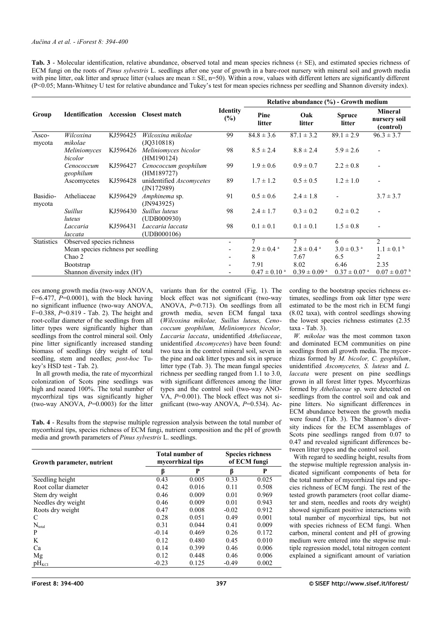<span id="page-3-0"></span>**Tab. 3** - Molecular identification, relative abundance, observed total and mean species richness (± SE), and estimated species richness of ECM fungi on the roots of *Pinus sylvestris* L. seedlings after one year of growth in a bare-root nursery with mineral soil and growth media with pine litter, oak litter and spruce litter (values are mean  $\pm$  SE, n=50). Within a row, values with different letters are significantly different (P<0.05; Mann-Whitney U test for relative abundance and Tukey's test for mean species richness per seedling and Shannon diversity index).

|                    |                                    |          |                                               |                           | Relative abundance $(\% )$ - Growth medium |                              |                              |                                             |
|--------------------|------------------------------------|----------|-----------------------------------------------|---------------------------|--------------------------------------------|------------------------------|------------------------------|---------------------------------------------|
| Group              |                                    |          | <b>Identification</b> Accession Closest match | <b>Identity</b><br>$(\%)$ | Pine<br>litter                             | Oak<br>litter                | <b>Spruce</b><br>litter      | <b>Mineral</b><br>nursery soil<br>(control) |
| Asco-<br>mycota    | Wilcoxina<br>mikolae               | KJ596425 | Wilcoxina mikolae<br>(JQ310818)               | 99                        | $84.8 \pm 3.6$                             | $87.1 \pm 3.2$               | $89.1 \pm 2.9$               | $96.3 \pm 3.7$                              |
|                    | Meliniomyces<br>bicolor            | KJ596426 | Meliniomyces bicolor<br>(HM190124)            | 98                        | $8.5 \pm 2.4$                              | $8.8 \pm 2.4$                | $5.9 \pm 2.6$                | $\overline{a}$                              |
|                    | Cenococcum<br>geophilum            | KJ596427 | Cenococcum geophilum<br>(HM189727)            | 99                        | $1.9 \pm 0.6$                              | $0.9 \pm 0.7$                | $2.2 \pm 0.8$                | $\overline{\phantom{0}}$                    |
|                    | Ascomycetes                        | KJ596428 | unidentified Ascomycetes<br>(N172989)         | 89                        | $1.7 \pm 1.2$                              | $0.5 \pm 0.5$                | $1.2 \pm 1.0$                | $\overline{\phantom{0}}$                    |
| Basidio-<br>mycota | Atheliaceae                        | KJ596429 | Amphinema sp.<br>( JN943925)                  | 91                        | $0.5 \pm 0.6$                              | $2.4 \pm 1.8$                |                              | $3.7 \pm 3.7$                               |
|                    | <b>Suillus</b><br>luteus           | KJ596430 | Suillus luteus<br>(UDB000930)                 | 98                        | $2.4 \pm 1.7$                              | $0.3 \pm 0.2$                | $0.2 \pm 0.2$                | $\overline{\phantom{0}}$                    |
|                    | Laccaria<br>laccata                | KJ596431 | Laccaria laccata<br>(UDB000106)               | 98                        | $0.1 \pm 0.1$                              | $0.1 \pm 0.1$                | $1.5 \pm 0.8$                | $\overline{a}$                              |
| <b>Statistics</b>  | Observed species richness          |          |                                               |                           | 7                                          | 7                            | 6                            | 2                                           |
|                    | Mean species richness per seedling |          |                                               |                           | $2.9 \pm 0.4$ <sup>a</sup>                 | $2.8 \pm 0.4$ <sup>a</sup>   | $3.0 \pm 0.3$ <sup>a</sup>   | $1.1 \pm 0.1^{\circ}$                       |
|                    | Chao 2                             |          |                                               | $\overline{\phantom{a}}$  | 8                                          | 7.67                         | 6.5                          | 2                                           |
|                    | <b>Bootstrap</b>                   |          |                                               | $\overline{\phantom{a}}$  | 7.91                                       | 8.02                         | 6.46                         | 2.35                                        |
|                    | Shannon diversity index (H')       |          |                                               |                           | $0.47 \pm 0.10$ <sup>a</sup>               | $0.39 \pm 0.09$ <sup>a</sup> | $0.37 \pm 0.07$ <sup>a</sup> | $0.07 \pm 0.07$ b                           |

ces among growth media (two-way ANOVA,  $F=6.477$ ,  $P=0.0001$ ), with the block having no significant influence (two-way ANOVA, F=0.388, *P*=0.819 - [Tab. 2\)](#page-2-2). The height and root-collar diameter of the seedlings from all litter types were significantly higher than seedlings from the control mineral soil. Only pine litter significantly increased standing biomass of seedlings (dry weight of total seedling, stem and needles; *post-hoc* Tukey's HSD test - [Tab. 2\)](#page-2-2).

In all growth media, the rate of mycorrhizal colonization of Scots pine seedlings was high and neared 100%. The total number of mycorrhizal tips was significantly higher (two-way ANOVA,  $P=0.0003$ ) for the litter

variants than for the control [\(Fig. 1\)](#page-2-1). The block effect was not significant (two-way ANOVA, *P*=0.713). On seedlings from all growth media, seven ECM fungal taxa (*Wilcoxina mikolae, Suillus luteus, Cenococcum geophilum, Meliniomyces bicolor, Laccaria laccata*, unidentified *Atheliaceae*, unidentified *Ascomycetes*) have been found: two taxa in the control mineral soil, seven in the pine and oak litter types and six in spruce litter type [\(Tab. 3\)](#page-3-0). The mean fungal species richness per seedling ranged from 1.1 to 3.0, with significant differences among the litter types and the control soil (two-way ANO-VA, *P*=0.001). The block effect was not significant (two-way ANOVA, *P*=0.534). According to the bootstrap species richness estimates, seedlings from oak litter type were estimated to be the most rich in ECM fungi (8.02 taxa), with control seedlings showing the lowest species richness estimates (2.35 taxa - [Tab. 3\)](#page-3-0).

*W. mikolae* was the most common taxon and dominated ECM communities on pine seedlings from all growth media. The mycorrhizas formed by *M. bicolor, C. geophilum*, unidentified *Ascomycetes, S. luteus* and *L. laccata* were present on pine seedlings grown in all forest litter types. Mycorrhizas formed by *Atheliaceae* sp. were detected on seedlings from the control soil and oak and pine litters. No significant differences in ECM abundance between the growth media were found [\(Tab. 3\)](#page-3-0). The Shannon's diversity indices for the ECM assemblages of Scots pine seedlings ranged from 0.07 to 0.47 and revealed significant differences between litter types and the control soil.

With regard to seedling height, results from the stepwise multiple regression analysis indicated significant components of beta for the total number of mycorrhizal tips and species richness of ECM fungi. The rest of the tested growth parameters (root collar diameter and stem, needles and roots dry weight) showed significant positive interactions with total number of mycorrhizal tips, but not with species richness of ECM fungi. When carbon, mineral content and pH of growing medium were entered into the stepwise multiple regression model, total nitrogen content explained a significant amount of variation

<span id="page-3-1"></span>**Tab. 4** - Results from the stepwise multiple regression analysis between the total number of mycorrhizal tips, species richness of ECM fungi, nutrient composition and the pH of growth media and growth parameters of *Pinus sylvestris* L. seedlings.

| Growth parameter, nutrient | Total number of<br>mycorrhizal tips |       |         | <b>Species richness</b><br>of ECM fungi |  |
|----------------------------|-------------------------------------|-------|---------|-----------------------------------------|--|
|                            | ß                                   | P     | ß       | P                                       |  |
| Seedling height            | 0.43                                | 0.005 | 0.33    | 0.025                                   |  |
| Root collar diameter       | 0.42                                | 0.016 | 0.11    | 0.508                                   |  |
| Stem dry weight            | 0.46                                | 0.009 | 0.01    | 0.969                                   |  |
| Needles dry weight         | 0.46                                | 0.009 | 0.01    | 0.943                                   |  |
| Roots dry weight           | 0.47                                | 0.008 | $-0.02$ | 0.912                                   |  |
| C                          | 0.28                                | 0.051 | 0.49    | 0.001                                   |  |
| $N_{total}$                | 0.31                                | 0.044 | 0.41    | 0.009                                   |  |
| P                          | $-0.14$                             | 0.469 | 0.26    | 0.172                                   |  |
| K                          | 0.12                                | 0.480 | 0.45    | 0.010                                   |  |
| Ca                         | 0.14                                | 0.399 | 0.46    | 0.006                                   |  |
| Mg                         | 0.12                                | 0.448 | 0.46    | 0.006                                   |  |
| $pH_{\text{KCI}}$          | $-0.23$                             | 0.125 | $-0.49$ | 0.002                                   |  |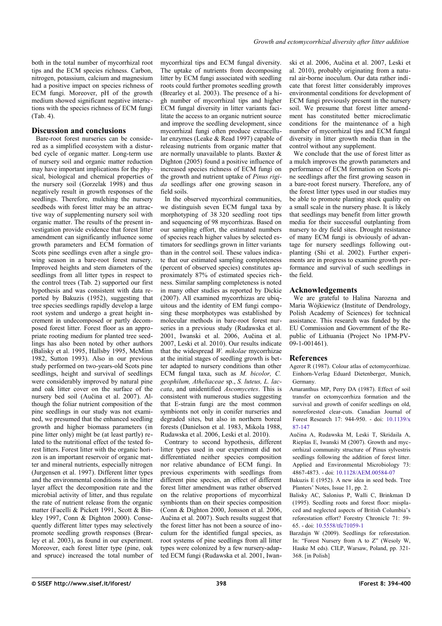both in the total number of mycorrhizal root tips and the ECM species richness. Carbon, nitrogen, potassium, calcium and magnesium had a positive impact on species richness of ECM fungi. Moreover, pH of the growth medium showed significant negative interactions with the species richness of ECM fungi [\(Tab. 4\)](#page-3-1).

### **Discussion and conclusions**

Bare-root forest nurseries can be considered as a simplified ecosystem with a disturbed cycle of organic matter. Long-term use of nursery soil and organic matter reduction may have important implications for the physical, biological and chemical properties of the nursery soil (Gorzelak 1998) and thus negatively result in growth responses of the seedlings. Therefore, mulching the nursery seedbeds with forest litter may be an attractive way of supplementing nursery soil with organic matter. The results of the present investigation provide evidence that forest litter amendment can significantly influence some growth parameters and ECM formation of Scots pine seedlings even after a single growing season in a bare-root forest nursery. Improved heights and stem diameters of the seedlings from all litter types in respect to the control trees [\(Tab. 2\)](#page-2-2) supported our first hypothesis and was consistent with data reported by Bakuzis (1952), suggesting that tree species seedlings rapidly develop a large root system and undergo a great height increment in undecomposed or partly decomposed forest litter. Forest floor as an appropriate rooting medium for planted tree seedlings has also been noted by other authors (Balisky et al. 1995, Hallsby 1995, McMinn 1982, Sutton 1993). Also in our previous study performed on two-years-old Scots pine seedlings, height and survival of seedlings were considerably improved by natural pine and oak litter cover on the surface of the nursery bed soil (Aučina et al. 2007). Although the foliar nutrient composition of the pine seedlings in our study was not examined, we presumed that the enhanced seedling growth and higher biomass parameters (in pine litter only) might be (at least partly) related to the nutritional effect of the tested forest litters. Forest litter with the organic horizon is an important reservoir of organic matter and mineral nutrients, especially nitrogen (Jurgensen et al. 1997). Different litter types and the environmental conditions in the litter layer affect the decomposition rate and the microbial activity of litter, and thus regulate the rate of nutrient release from the organic matter (Facelli & Pickett 1991, Scott & Binkley 1997, Conn & Dighton 2000). Consequently different litter types may selectively promote seedling growth responses (Brearley et al. 2003), as found in our experiment. Moreover, each forest litter type (pine, oak and spruce) increased the total number of

mycorrhizal tips and ECM fungal diversity. The uptake of nutrients from decomposing litter by ECM fungi associated with seedling roots could further promotes seedling growth (Brearley et al. 2003). The presence of a high number of mycorrhizal tips and higher ECM fungal diversity in litter variants facilitate the access to an organic nutrient source and improve the seedling development, since mycorrhizal fungi often produce extracellular enzymes (Leake & Read 1997) capable of releasing nutrients from organic matter that are normally unavailable to plants. Baxter & Dighton (2005) found a positive influence of increased species richness of ECM fungi on the growth and nutrient uptake of *Pinus rigida* seedlings after one growing season in field soils.

In the observed mycorrhizal communities, we distinguish seven ECM fungal taxa by morphotyping of 38 320 seedling root tips and sequencing of 98 mycorrhizas. Based on our sampling effort, the estimated numbers of species reach higher values by selected estimators for seedlings grown in litter variants than in the control soil. These values indicate that our estimated sampling completeness (percent of observed species) constitutes approximately 87% of estimated species richness. Similar sampling completeness is noted in many other studies as reported by Dickie (2007). All examined mycorrhizas are ubiquitous and the identity of EM fungi composing these morphotypes was established by molecular methods in bare-root forest nurseries in a previous study (Rudawska et al. 2001, Iwanski et al. 2006, Aučina et al. 2007, Leski et al. 2010). Our results indicate that the widespread *W. mikolae* mycorrhizae at the initial stages of seedling growth is better adapted to nursery conditions than other ECM fungal taxa, such as *M. bicolor, C. geophilum, Atheliaceae* sp., *S. luteus, L. laccata*, and unidentified *Ascomycetes*. This is consistent with numerous studies suggesting that E-strain fungi are the most common symbionts not only in conifer nurseries and degraded sites, but also in northern boreal forests (Danielson et al. 1983, Mikola 1988, Rudawska et al. 2006, Leski et al. 2010).

Contrary to second hypothesis, different litter types used in our experiment did not differentiated neither species composition nor relative abundance of ECM fungi. In previous experiments with seedlings from different pine species, an effect of different forest litter amendment was rather observed on the relative proportions of mycorrhizal symbionts than on their species composition (Conn & Dighton 2000, Jonsson et al. 2006, Aučina et al. 2007). Such results suggest that the forest litter has not been a source of inoculum for the identified fungal species, as root systems of pine seedlings from all litter types were colonized by a few nursery-adapted ECM fungi (Rudawska et al. 2001, Iwanski et al. 2006, Aučina et al. 2007, Leski et al. 2010), probably originating from a natural air-borne inoculum. Our data rather indicate that forest litter considerably improves environmental conditions for development of ECM fungi previously present in the nursery soil. We presume that forest litter amendment has constituted better microclimatic conditions for the maintenance of a high number of mycorrhizal tips and ECM fungal diversity in litter growth media than in the control without any supplement.

We conclude that the use of forest litter as a mulch improves the growth parameters and performance of ECM formation on Scots pine seedlings after the first growing season in a bare-root forest nursery. Therefore, any of the forest litter types used in our studies may be able to promote planting stock quality on a small scale in the nursery phase. It is likely that seedlings may benefit from litter growth media for their successful outplanting from nursery to dry field sites. Drought resistance of many ECM fungi is obviously of advantage for nursery seedlings following outplanting (Shi et al. 2002). Further experiments are in progress to examine growth performance and survival of such seedlings in the field.

### **Acknowledgements**

We are grateful to Halina Narozna and Maria Wójkiewicz (Institute of Dendrology, Polish Academy of Sciences) for technical assistance. This research was funded by the EU Commission and Government of the Republic of Lithuania (Project No 1PM-PV-09-1-001461).

### **References**

- Agerer R (1987). Colour atlas of ectomycorrhizae. Einhorn-Verlag Eduard Dietenberger, Munich, Germany.
- Amaranthus MP, Perry DA (1987). Effect of soil transfer on ectomycorrhiza formation and the survival and growth of conifer seedlings on old, nonreforested clear-cuts. Canadian Journal of Forest Research 17: 944-950. - doi: [10.1139/x](http://dx.doi.org/10.1139/x87-147) [87-147](http://dx.doi.org/10.1139/x87-147)
- Aučina A, Rudawska M, Leski T, Skridaila A, Riepšas E, Iwanski M (2007). Growth and mycorrhizal community structure of Pinus sylvestris seedlings following the addition of forest litter. Applied and Environmental Microbiology 73: 4867-4873. - doi: [10.1128/AEM.00584-07](http://dx.doi.org/10.1128/AEM.00584-07)
- Bakuzis E (1952). A new idea in seed beds. Tree Planters' Notes, Issue 11, pp. 2.
- Balisky AC, Salonius P, Walli C, Brinkman D (1995). Seedling roots and forest floor: misplaced and neglected aspects of British Columbia's reforestation effort? Forestry Chronicle 71: 59- 65. - doi: [10.5558/tfc71059-1](http://dx.doi.org/10.5558/tfc71059-1)
- Barzdajn W (2009). Seedlings for reforestation. In: "Forest Nursery from A to Z" (Wesoly W, Hauke M eds). CILP, Warsaw, Poland, pp. 321- 368. [in Polish]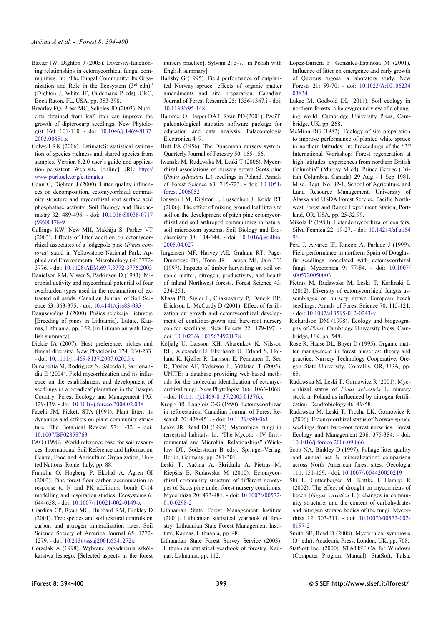- Baxter JW, Dighton J (2005). Diversity-functioning relationships in ectomycorrhizal fungal communities. In: "The Fungal Community: Its Organization and Role in the Ecosystem  $(3<sup>rd</sup>$  edn)" (Dighton J, White JF, Oudemans P eds). CRC, Boca Raton, FL, USA, pp. 383-398.
- Brearley FQ, Press MC, Scholes JD (2003). Nutrients obtained from leaf litter can improve the growth of dipterocarp seedlings. New Phytologist 160: 101-110. - doi: [10.1046/j.1469-8137.](http://dx.doi.org/10.1046/j.1469-8137.2003.00851.x) [2003.00851.x](http://dx.doi.org/10.1046/j.1469-8137.2003.00851.x)
- Colwell RK (2006). EstimateS: statistical estimation of species richness and shared species from samples. Version 8.2.0 user's guide and application persistent. Web site. [online] URL: [http://](http://www.purl.oclc.org/estimates) [www.purl.oclc.org/estimates](http://www.purl.oclc.org/estimates)
- Conn C, Dighton J (2000). Litter quality influences on decomposition, ectomycorrhizal community structure and mycorrhizal root surface acid phosphatase activity. Soil Biology and Biochemistry 32: 489-496. - doi: [10.1016/S0038-0717](http://dx.doi.org/10.1016/S0038-0717(99)00178-9) [\(99\)00178-9](http://dx.doi.org/10.1016/S0038-0717(99)00178-9)
- Cullings KW, New MH, Makhija S, Parker VT (2003). Effects of litter addition on ectomycorrhizal associates of a lodgepole pine (*Pinus contorta*) stand in Yellowstone National Park. Applied and Environmental Microbiology 69: 3772- 3776. - doi: [10.1128/AEM.69.7.3772-3776.2003](http://dx.doi.org/10.1128/AEM.69.7.3772-3776.2003)
- Danielson RM, Visser S, Parkinson D (1983). Microbial activity and mycorrhizal potential of four overburden types used in the reclamation of extracted oil sands. Canadian Journal of Soil Science 63: 363-375. - doi: [10.4141/cjss83-035](http://dx.doi.org/10.4141/cjss83-035)
- Danusevičius J (2000). Pušies selekcija Lietuvoje [Breeding of pines in Lithuania]. Lutute, Kaunas, Lithuania, pp. 352. [in Lithuanian with English summary]
- Dickie IA (2007). Host preference, niches and fungal diversity. New Phytologist 174: 230-233. - doi: [10.1111/j.1469-8137.2007.02055.x](http://dx.doi.org/10.1111/j.1469-8137.2007.02055.x)
- Dunabeitia M, Rodriguez N, Salcedo I, Sarrionandia E (2004). Field mycorrhization and its influence on the establishment and development of seedlings in a broadleaf plantation in the Basque Country. Forest Ecology and Management 195: 129-139. - doi: [10.1016/j.foreco.2004.02.038](http://dx.doi.org/10.1016/j.foreco.2004.02.038)
- Facelli JM, Pickett STA (1991). Plant litter: its dynamics and effects on plant community structure. The Botanical Review 57: 1-32. - doi: [10.1007/BF02858763](http://dx.doi.org/10.1007/BF02858763)
- FAO (1998). World reference base for soil resources. International Soil Reference and Information Centre, Food and Agriculture Organization, United Nations, Rome, Italy, pp. 88.
- Franklin O, Hogberg P, Ekblad A, Ågren GI (2003). Pine forest floor carbon accumulation in response to N and PK additions: bomb C-14 modelling and respiration studies. Ecosystems 6: 644-658. - doi: [10.1007/s10021-002-0149-x](http://dx.doi.org/10.1007/s10021-002-0149-x)
- Giardina CP, Ryan MG, Hubbard RM, Binkley D (2001). Tree species and soil textural controls on carbon and nitrogen mineralization rates. Soil Science Society of America Journal 65: 1272- 1279. - doi: [10.2136/sssaj2001.6541272x](http://dx.doi.org/10.2136/sssaj2001.6541272x)
- Gorzelak A (1998). Wybrane zagadnienia szkólkarstwa lesnego. [Selected aspects in the forest

nursery practice]. Sylwan 2: 5-7. [in Polish with English summary]

- Hallsby G (1995). Field performance of outplanted Norway spruce: effects of organic matter amendments and site preparation. Canadian Journal of Forest Research 25: 1356-1367.i - doi: [10.1139/x95-148](http://dx.doi.org/10.1139/x95-148)
- Hammer O, Harper DAT, Ryan PD (2001). PAST: paleontological statistics software package for education and data analysis. Palaeontologia Electronica 4: 9.
- Hutt PA (1956). The Dunemann nursery system. Quarterly Journal of Forestry 50: 155-156.
- Iwanski M, Rudawska M, Leski T (2006). Mycorrhizal associations of nursery grown Scots pine (*Pinus sylvestris* L.) seedlings in Poland. Annals of Forest Science 63: 715-723. - doi: [10.1051/](http://dx.doi.org/10.1051/forest:2006052) [forest:2006052](http://dx.doi.org/10.1051/forest:2006052)
- Jonsson LM, Dighton J, Lussenhop J, Koide RT (2006). The effect of mixing ground leaf litters to soil on the development of pitch pine ectomycorrhizal and soil arthropod communities in natural soil microcosm systems. Soil Biology and Biochemistry 38: 134-144. - doi: [10.1016/j.soilbio.](http://dx.doi.org/10.1016/j.soilbio.2005.04.027) [2005.04.027](http://dx.doi.org/10.1016/j.soilbio.2005.04.027)
- Jurgensen MF, Harvey AE, Graham RT, Page-Dumroese DS, Tonn JR, Larsen MJ, Jain TB (1997). Impacts of timber harvesting on soil organic matter, nitrogen, productivity, and health of inland Northwest forests. Forest Science 43: 234-251.
- Khasa PD, Sigler L, Chakravarty P, Dancik BP, Erickson L, McCurdy D (2001). Effect of fertilization on growth and ectomycorrhizal development of container-grown and bare-root nursery conifer seedlings. New Forests 22: 179-197. doi: [10.1023/A:1015674921878](http://dx.doi.org/10.1023/A:1015674921878)
- Kõljalg U, Larsson KH, Abarenkov K, Nilsson RH, Alexander IJ, Eberhardt U, Erland S, Hoiland K, Kjøller R, Larsson E, Pennanen T, Sen R, Taylor AF, Tedersoo L, Vrålstad T (2005). UNITE: a database providing web-based methods for the molecular identification of ectomycorrhizal fungi. New Phytologist 166: 1063-1068. - doi: [10.1111/j.1469-8137.2005.01376.x](http://dx.doi.org/10.1111/j.1469-8137.2005.01376.x)
- Kropp BR, Langlois C-G (1990). Ectomycorrhizae in reforestation. Canadian Journal of Forest Research 20: 438-451. - doi: [10.1139/x90-061](http://dx.doi.org/10.1139/x90-061)
- Leake JR, Read DJ (1997). Mycorrhizal fungi in terrestrial habitats. In: "The Mycota - IV Environmental and Microbial Relationships" (Wicklow DT, Soderstrom B eds). Springer-Verlag, Berlin, Germany, pp. 281-301.
- Leski T, Aučina A, Skridaila A, Pietras M, Riepšas E, Rudawska M (2010). Ectomycorrhizal community structure of different genotypes of Scots pine under forest nursery conditions. Mycorrhiza 20: 473-481. - doi: [10.1007/s00572-](http://dx.doi.org/10.1007/s00572-010-0298-2) [010-0298-2](http://dx.doi.org/10.1007/s00572-010-0298-2)
- Lithuanian State Forest Management Institute (2001). Lithuanian statistical yearbook of forestry. Lithuanian State Forest Management Institute, Kaunas, Lithuania, pp. 48.
- Lithuanian State Forest Survey Service (2003). Lithuanian statistical yearbook of forestry. Kaunas, Lithuania, pp. 112.

López-Barrera F, González-Espinosa M (2001). Influence of litter on emergence and early growth of Quercus rugosa: a laboratory study. New Forests 21: 59-70. - doi: [10.1023/A:10106234](http://dx.doi.org/10.1023/A:1010623403834) [03834](http://dx.doi.org/10.1023/A:1010623403834)

- Lukac M, Godbold DL (2011). Soil ecology in northern forests: a belowground view of a changing world. Cambridge University Press, Cambridge, UK, pp. 268.
- McMinn RG (1982). Ecology of site preparation to improve performance of planted white spruce in northern latitudes. In: Proceedings of the "3rd International Workshop: Forest regeneration at high latitudes: experiences from northern British Columbia" (Murray M ed). Prince George (British Columbia, Canada) 29 Aug - 1 Sep 1981. Misc. Rept. No. 82-1, School of Agriculture and Land Resource Management, University of Alaska and USDA Forest Service, Pacific Northwest Forest and Range Experiment Station, Portland, OR, USA, pp. 25-32.99.
- Mikola P (1988). Ectendomycorrhiza of conifers. Silva Fennica 22: 19-27. - doi: [10.14214/sf.a154](http://dx.doi.org/10.14214/sf.a15496) [96](http://dx.doi.org/10.14214/sf.a15496)
- Pera J, Alvarez IF, Rincon A, Parlade J (1999). Field performance in northern Spain of Douglasfir seedlings inoculated with ectomycorrhizal fungi. Mycorrhiza 9: 77-84. - doi: [10.1007/](http://dx.doi.org/10.1007/s005720050003) [s005720050003](http://dx.doi.org/10.1007/s005720050003)
- Pietras M, Rudawska M, Leski T, Karlinski L (2012). Diversity of ectomycorrhizal fungus assemblages on nursery grown European beech seedlings. Annals of Forest Science 70: 115-121. - doi: [10.1007/s13595-012-0243-y](http://dx.doi.org/10.1007/s13595-012-0243-y)
- Richardson DM (1998). Ecology and biogeography of *Pinus*. Cambridge University Press, Cambridge, UK, pp. 548.
- Rose R, Haase DL, Boyer D (1995). Organic matter management in forest nurseries: theory and practice. Nursery Technology Cooperative, Oregon State University, Corvallis, OR, USA, pp. 65.
- Rudawska M, Leski T, Gornowicz R (2001). Mycorrhizal status of *Pinus sylvestris* L. nursery stock in Poland as influenced by nitrogen fertilization. Dendrobiology 46: 49-58.
- Rudawska M, Leski T, Trocha LK, Gornowicz R (2006). Ectomycorrhizal status of Norway spruce seedlings from bare-root forest nurseries. Forest Ecology and Management 236: 375-384. - doi: [10.1016/j.foreco.2006.09.066](http://dx.doi.org/10.1016/j.foreco.2006.09.066)
- Scott NA, Binkley D (1997). Foliage litter quality and annual net N mineralization: comparison across North American forest sites. Oecologia 111: 151-159. - doi: [10.1007/s004420050219](http://dx.doi.org/10.1007/s004420050219)
- Shi L, Guttenberger M, Kottke I, Hampp R (2002). The effect of drought on mycorrhizas of beech (*Fagus sylvatica* L.): changes in community structure, and the content of carbohydrates and nitrogen storage bodies of the fungi. Mycorrhiza 12: 303-311. - doi: [10.1007/s00572-002-](http://dx.doi.org/10.1007/s00572-002-0197-2) [0197-2](http://dx.doi.org/10.1007/s00572-002-0197-2)
- Smith SE, Read D (2008). Mycorrhizal symbiosis (3rd edn). Academic Press, London, UK, pp. 768. StatSoft Inc. (2000). STATISTICA for Windows (Computer Program Manual). StatSoft, Tulsa,